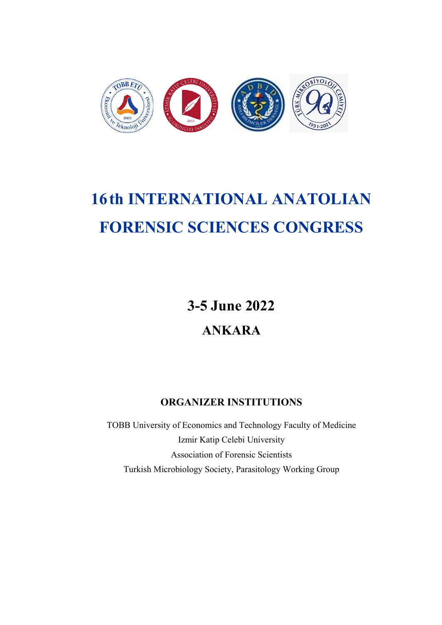

# **16th INTERNATIONAL ANATOLIAN FORENSIC SCIENCES CONGRESS**

**3-5 June 2022**

**ANKARA**

# **ORGANIZER INSTITUTIONS**

TOBB University of Economics and Technology Faculty of Medicine Izmir Katip Celebi University Association of Forensic Scientists Turkish Microbiology Society, Parasitology Working Group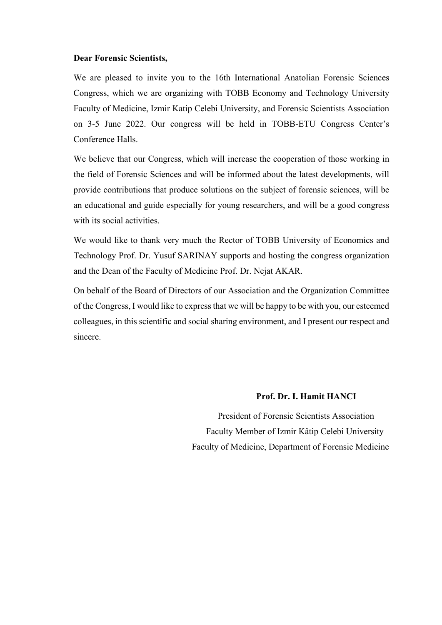#### **Dear Forensic Scientists,**

We are pleased to invite you to the 16th International Anatolian Forensic Sciences Congress, which we are organizing with TOBB Economy and Technology University Faculty of Medicine, Izmir Katip Celebi University, and Forensic Scientists Association on 3-5 June 2022. Our congress will be held in TOBB-ETU Congress Center's Conference Halls.

We believe that our Congress, which will increase the cooperation of those working in the field of Forensic Sciences and will be informed about the latest developments, will provide contributions that produce solutions on the subject of forensic sciences, will be an educational and guide especially for young researchers, and will be a good congress with its social activities.

We would like to thank very much the Rector of TOBB University of Economics and Technology Prof. Dr. Yusuf SARINAY supports and hosting the congress organization and the Dean of the Faculty of Medicine Prof. Dr. Nejat AKAR.

On behalf of the Board of Directors of our Association and the Organization Committee of the Congress, I would like to express that we will be happy to be with you, our esteemed colleagues, in this scientific and social sharing environment, and I present our respect and sincere.

#### **Prof. Dr. I. Hamit HANCI**

 President of Forensic Scientists Association Faculty Member of Izmir Kâtip Celebi University Faculty of Medicine, Department of Forensic Medicine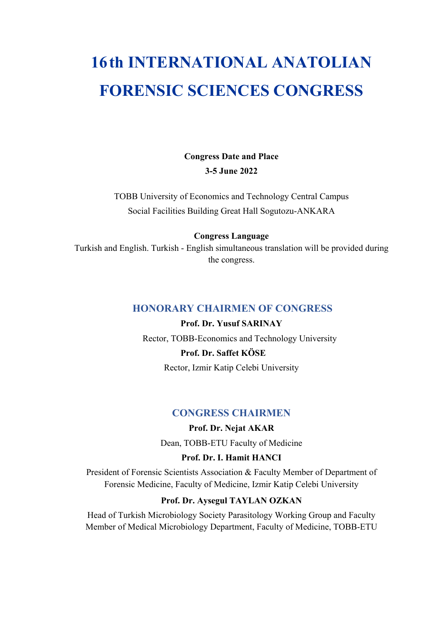# **16th INTERNATIONAL ANATOLIAN FORENSIC SCIENCES CONGRESS**

**Congress Date and Place 3-5 June 2022**

TOBB University of Economics and Technology Central Campus Social Facilities Building Great Hall Sogutozu-ANKARA

#### **Congress Language**

Turkish and English. Turkish - English simultaneous translation will be provided during the congress.

#### **HONORARY CHAIRMEN OF CONGRESS**

**Prof. Dr. Yusuf SARINAY** Rector, TOBB-Economics and Technology University

# **Prof. Dr. Saffet KÖSE**

Rector, Izmir Katip Celebi University

#### **CONGRESS CHAIRMEN**

**Prof. Dr. Nejat AKAR** Dean, TOBB-ETU Faculty of Medicine

#### **Prof. Dr. I. Hamit HANCI**

President of Forensic Scientists Association & Faculty Member of Department of Forensic Medicine, Faculty of Medicine, Izmir Katip Celebi University

#### **Prof. Dr. Aysegul TAYLAN OZKAN**

Head of Turkish Microbiology Society Parasitology Working Group and Faculty Member of Medical Microbiology Department, Faculty of Medicine, TOBB-ETU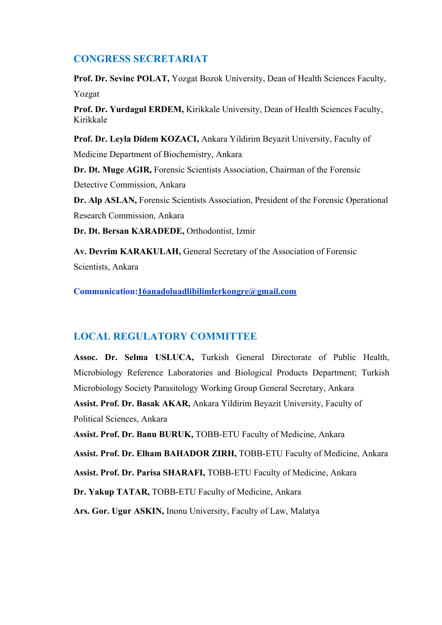#### **CONGRESS SECRETARIAT**

**Prof. Dr. Sevinc POLAT,** Yozgat Bozok University, Dean of Health Sciences Faculty, Yozgat

**Prof. Dr. Yurdagul ERDEM,** Kirikkale University, Dean of Health Sciences Faculty, Kirikkale

**Prof. Dr. Leyla Didem KOZACI,** Ankara Yildirim Beyazit University, Faculty of Medicine Department of Biochemistry, Ankara

**Dr. Dt. Muge AGIR,** Forensic Scientists Association, Chairman of the Forensic Detective Commission, Ankara

**Dr. Alp ASLAN,** Forensic Scientists Association, President of the Forensic Operational Research Commission, Ankara

**Dr. Dt. Bersan KARADEDE,** Orthodontist, Izmir

**Av. Devrim KARAKULAH,** General Secretary of the Association of Forensic Scientists, Ankara

**Communication[:16anadoluadlibilimlerkongre@gmail.com](mailto:16anadoluadlibilimlerkongre@gmail.com)**

### **LOCAL REGULATORY COMMITTEE**

**Assoc. Dr. Selma USLUCA,** Turkish General Directorate of Public Health, Microbiology Reference Laboratories and Biological Products Department; Turkish Microbiology Society Parasitology Working Group General Secretary, Ankara **Assist. Prof. Dr. Basak AKAR,** Ankara Yildirim Beyazit University, Faculty of Political Sciences, Ankara **Assist. Prof. Dr. Banu BURUK,** TOBB-ETU Faculty of Medicine, Ankara

**Assist. Prof. Dr. Elham BAHADOR ZIRH,** TOBB-ETU Faculty of Medicine, Ankara

**Assist. Prof. Dr. Parisa SHARAFI,** TOBB-ETU Faculty of Medicine, Ankara

**Dr. Yakup TATAR,** TOBB-ETU Faculty of Medicine, Ankara

**Ars. Gor. Ugur ASKIN,** Inonu University, Faculty of Law, Malatya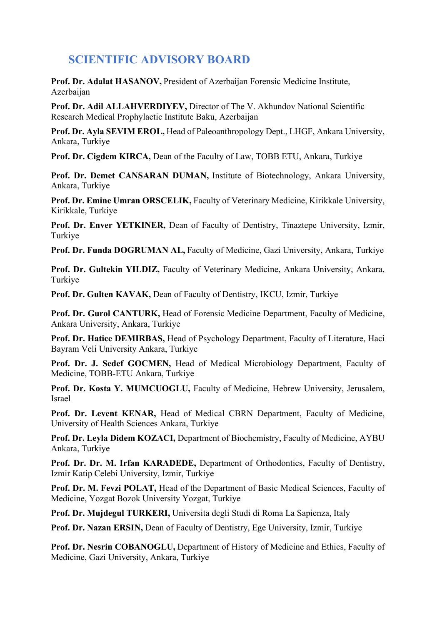# **SCIENTIFIC ADVISORY BOARD**

**Prof. Dr. Adalat HASANOV,** President of Azerbaijan Forensic Medicine Institute, Azerbaijan

**Prof. Dr. Adil ALLAHVERDIYEV,** Director of The V. Akhundov National Scientific Research Medical Prophylactic Institute Baku, Azerbaijan

**Prof. Dr. Ayla SEVIM EROL,** Head of Paleoanthropology Dept., LHGF, Ankara University, Ankara, Turkiye

**Prof. Dr. Cigdem KIRCA,** Dean of the Faculty of Law, TOBB ETU, Ankara, Turkiye

**Prof. Dr. Demet CANSARAN DUMAN,** Institute of Biotechnology, Ankara University, Ankara, Turkiye

**Prof. Dr. Emine Umran ORSCELIK,** Faculty of Veterinary Medicine, Kirikkale University, Kirikkale, Turkiye

**Prof. Dr. Enver YETKINER,** Dean of Faculty of Dentistry, Tinaztepe University, Izmir, Turkiye

**Prof. Dr. Funda DOGRUMAN AL,** Faculty of Medicine, Gazi University, Ankara, Turkiye

**Prof. Dr. Gultekin YILDIZ,** Faculty of Veterinary Medicine, Ankara University, Ankara, Turkiye

**Prof. Dr. Gulten KAVAK,** Dean of Faculty of Dentistry, IKCU, Izmir, Turkiye

**Prof. Dr. Gurol CANTURK,** Head of Forensic Medicine Department, Faculty of Medicine, Ankara University, Ankara, Turkiye

**Prof. Dr. Hatice DEMIRBAS,** Head of Psychology Department, Faculty of Literature, Haci Bayram Veli University Ankara, Turkiye

**Prof. Dr. J. Sedef GOCMEN,** Head of Medical Microbiology Department, Faculty of Medicine, TOBB-ETU Ankara, Turkiye

**Prof. Dr. Kosta Y. MUMCUOGLU,** Faculty of Medicine, Hebrew University, Jerusalem, Israel

**Prof. Dr. Levent KENAR,** Head of Medical CBRN Department, Faculty of Medicine, University of Health Sciences Ankara, Turkiye

**Prof. Dr. Leyla Didem KOZACI,** Department of Biochemistry, Faculty of Medicine, AYBU Ankara, Turkiye

**Prof. Dr. Dr. M. Irfan KARADEDE,** Department of Orthodontics, Faculty of Dentistry, Izmir Katip Celebi University, Izmir, Turkiye

**Prof. Dr. M. Fevzi POLAT,** Head of the Department of Basic Medical Sciences, Faculty of Medicine, Yozgat Bozok University Yozgat, Turkiye

**Prof. Dr. Mujdegul TURKERI,** Universita degli Studi di Roma La Sapienza, Italy

**Prof. Dr. Nazan ERSIN,** Dean of Faculty of Dentistry, Ege University, Izmir, Turkiye

**Prof. Dr. Nesrin COBANOGLU,** Department of History of Medicine and Ethics, Faculty of Medicine, Gazi University, Ankara, Turkiye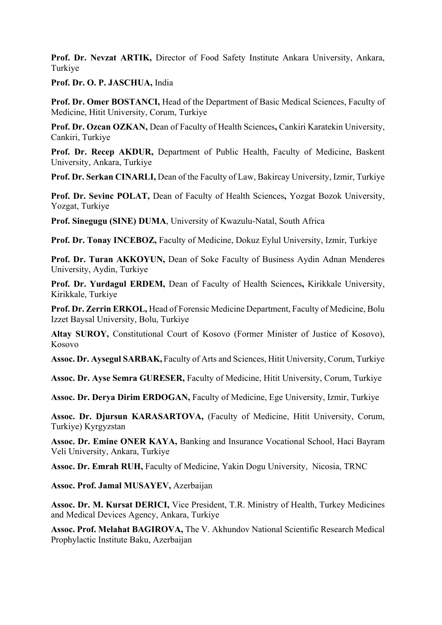**Prof. Dr. Nevzat ARTIK,** Director of Food Safety Institute Ankara University, Ankara, Turkiye

**Prof. Dr. O. P. JASCHUA,** India

**Prof. Dr. Omer BOSTANCI,** Head of the Department of Basic Medical Sciences, Faculty of Medicine, Hitit University, Corum, Turkiye

**Prof. Dr. Ozcan OZKAN,** Dean of Faculty of Health Sciences**,** Cankiri Karatekin University, Cankiri, Turkiye

**Prof. Dr. Recep AKDUR,** Department of Public Health, Faculty of Medicine, Baskent University, Ankara, Turkiye

**Prof. Dr. Serkan CINARLI,** Dean of the Faculty of Law, Bakircay University, Izmir, Turkiye

**Prof. Dr. Sevinc POLAT,** Dean of Faculty of Health Sciences**,** Yozgat Bozok University, Yozgat, Turkiye

**Prof. Sinegugu (SINE) DUMA**, University of Kwazulu-Natal, South Africa

**Prof. Dr. Tonay INCEBOZ,** Faculty of Medicine, Dokuz Eylul University, Izmir, Turkiye

**Prof. Dr. Turan AKKOYUN,** Dean of Soke Faculty of Business Aydin Adnan Menderes University, Aydin, Turkiye

**Prof. Dr. Yurdagul ERDEM,** Dean of Faculty of Health Sciences**,** Kirikkale University, Kirikkale, Turkiye

**Prof. Dr. Zerrin ERKOL,** Head of Forensic Medicine Department, Faculty of Medicine, Bolu Izzet Baysal University, Bolu, Turkiye

**Altay SUROY,** Constitutional Court of Kosovo (Former Minister of Justice of Kosovo), Kosovo

**Assoc. Dr. Aysegul SARBAK,** Faculty of Arts and Sciences, Hitit University, Corum, Turkiye

**Assoc. Dr. Ayse Semra GURESER,** Faculty of Medicine, Hitit University, Corum, Turkiye

**Assoc. Dr. Derya Dirim ERDOGAN,** Faculty of Medicine, Ege University, Izmir, Turkiye

**Assoc. Dr. Djursun KARASARTOVA,** (Faculty of Medicine, Hitit University, Corum, Turkiye) Kyrgyzstan

**Assoc. Dr. Emine ONER KAYA,** Banking and Insurance Vocational School, Haci Bayram Veli University, Ankara, Turkiye

**Assoc. Dr. Emrah RUH,** Faculty of Medicine, Yakin Dogu University, Nicosia, TRNC

**Assoc. Prof. Jamal MUSAYEV,** Azerbaijan

**Assoc. Dr. M. Kursat DERICI,** Vice President, T.R. Ministry of Health, Turkey Medicines and Medical Devices Agency, Ankara, Turkiye

**Assoc. Prof. Melahat BAGIROVA,** The V. Akhundov National Scientific Research Medical Prophylactic Institute Baku, Azerbaijan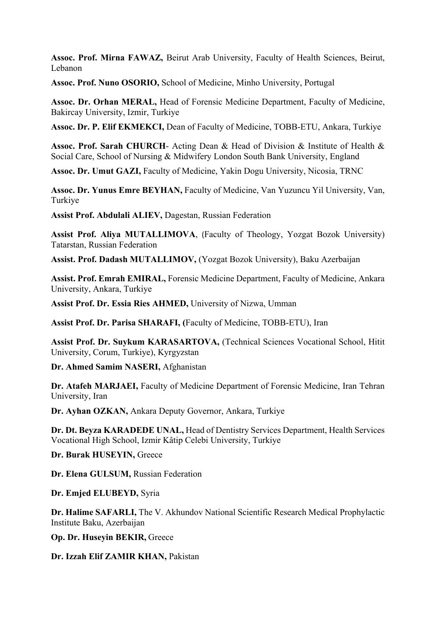**Assoc. Prof. Mirna FAWAZ,** Beirut Arab University, Faculty of Health Sciences, Beirut, Lebanon

**Assoc. Prof. Nuno OSORIO,** School of Medicine, Minho University, Portugal

**Assoc. Dr. Orhan MERAL,** Head of Forensic Medicine Department, Faculty of Medicine, Bakircay University, Izmir, Turkiye

**Assoc. Dr. P. Elif EKMEKCI,** Dean of Faculty of Medicine, TOBB-ETU, Ankara, Turkiye

**Assoc. Prof. Sarah CHURCH**- Acting Dean & Head of Division & Institute of Health & Social Care, School of Nursing & Midwifery London South Bank University, England

**Assoc. Dr. Umut GAZI,** Faculty of Medicine, Yakin Dogu University, Nicosia, TRNC

**Assoc. Dr. Yunus Emre BEYHAN,** Faculty of Medicine, Van Yuzuncu Yil University, Van, Turkiye

**Assist Prof. Abdulali ALIEV,** Dagestan, Russian Federation

**Assist Prof. Aliya MUTALLIMOVA**, (Faculty of Theology, Yozgat Bozok University) Tatarstan, Russian Federation

**Assist. Prof. Dadash MUTALLIMOV,** (Yozgat Bozok University), Baku Azerbaijan

**Assist. Prof. Emrah EMIRAL,** Forensic Medicine Department, Faculty of Medicine, Ankara University, Ankara, Turkiye

**Assist Prof. Dr. Essia Ries AHMED,** University of Nizwa, Umman

**Assist Prof. Dr. Parisa SHARAFI, (**Faculty of Medicine, TOBB-ETU), Iran

**Assist Prof. Dr. Suykum KARASARTOVA,** (Technical Sciences Vocational School, Hitit University, Corum, Turkiye), Kyrgyzstan

**Dr. Ahmed Samim NASERI,** Afghanistan

**Dr. Atafeh MARJAEI,** Faculty of Medicine Department of Forensic Medicine, Iran Tehran University, Iran

**Dr. Ayhan OZKAN,** Ankara Deputy Governor, Ankara, Turkiye

**Dr. Dt. Beyza KARADEDE UNAL,** Head of Dentistry Services Department, Health Services Vocational High School, Izmir Kâtip Celebi University, Turkiye

**Dr. Burak HUSEYIN,** Greece

**Dr. Elena GULSUM,** Russian Federation

**Dr. Emjed ELUBEYD,** Syria

**Dr. Halime SAFARLI,** The V. Akhundov National Scientific Research Medical Prophylactic Institute Baku, Azerbaijan

**Op. Dr. Huseyin BEKIR,** Greece

**Dr. Izzah Elif ZAMIR KHAN,** Pakistan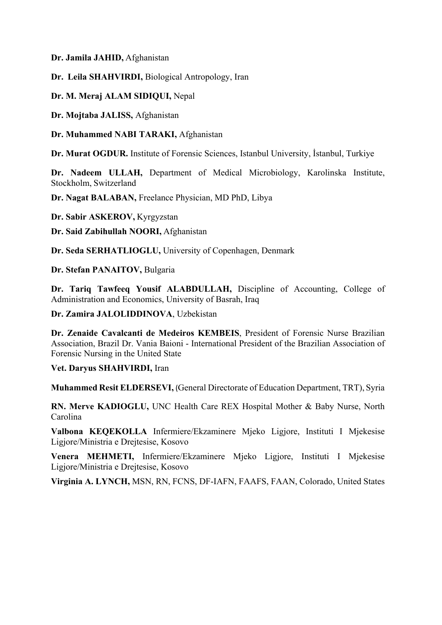**Dr. Jamila JAHID,** Afghanistan

**Dr. Leila SHAHVIRDI,** Biological Antropology, Iran

#### **Dr. M. Meraj ALAM SIDIQUI,** Nepal

**Dr. Mojtaba JALISS,** Afghanistan

**Dr. Muhammed NABI TARAKI,** Afghanistan

**Dr. Murat OGDUR.** Institute of Forensic Sciences, Istanbul University, İstanbul, Turkiye

**Dr. Nadeem ULLAH,** Department of Medical Microbiology, Karolinska Institute, Stockholm, Switzerland

**Dr. Nagat BALABAN,** Freelance Physician, MD PhD, Libya

**Dr. Sabir ASKEROV,** Kyrgyzstan

**Dr. Said Zabihullah NOORI,** Afghanistan

**Dr. Seda SERHATLIOGLU,** University of Copenhagen, Denmark

**Dr. Stefan PANAITOV,** Bulgaria

**Dr. Tariq Tawfeeq Yousif ALABDULLAH,** Discipline of Accounting, College of Administration and Economics, University of Basrah, Iraq

#### **Dr. Zamira JALOLIDDINOVA**, Uzbekistan

**Dr. Zenaide Cavalcanti de Medeiros KEMBEIS**, President of Forensic Nurse Brazilian Association, Brazil Dr. Vania Baioni - International President of the Brazilian Association of Forensic Nursing in the United State

#### **Vet. Daryus SHAHVIRDI,** Iran

**Muhammed Resit ELDERSEVI,** (General Directorate of Education Department, TRT), Syria

**RN. Merve KADIOGLU,** UNC Health Care REX Hospital Mother & Baby Nurse, North Carolina

**Valbona KEQEKOLLA** Infermiere/Ekzaminere Mjeko Ligjore, Instituti I Mjekesise Ligjore/Ministria e Drejtesise, Kosovo

**Venera MEHMETI,** Infermiere/Ekzaminere Mjeko Ligjore, Instituti I Mjekesise Ligjore/Ministria e Drejtesise, Kosovo

**Virginia A. LYNCH,** MSN, RN, FCNS, DF-IAFN, FAAFS, FAAN, Colorado, United States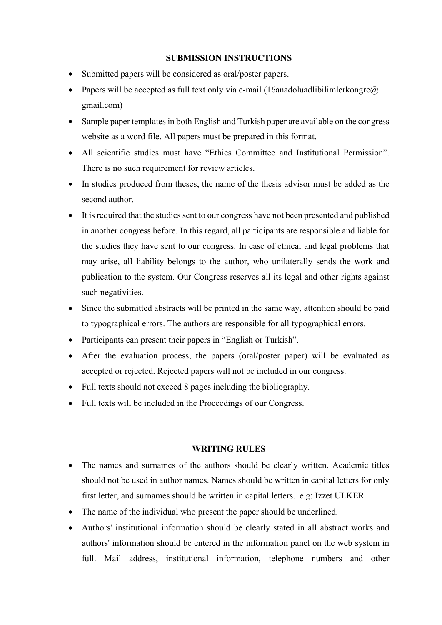#### **SUBMISSION INSTRUCTIONS**

- Submitted papers will be considered as oral/poster papers.
- Papers will be accepted as full text only via e-mail (16anadoluadlibilimlerkongre $\omega$ ) gmail.com)
- Sample paper templates in both English and Turkish paper are available on the congress website as a word file. All papers must be prepared in this format.
- All scientific studies must have "Ethics Committee and Institutional Permission". There is no such requirement for review articles.
- In studies produced from theses, the name of the thesis advisor must be added as the second author.
- It is required that the studies sent to our congress have not been presented and published in another congress before. In this regard, all participants are responsible and liable for the studies they have sent to our congress. In case of ethical and legal problems that may arise, all liability belongs to the author, who unilaterally sends the work and publication to the system. Our Congress reserves all its legal and other rights against such negativities.
- Since the submitted abstracts will be printed in the same way, attention should be paid to typographical errors. The authors are responsible for all typographical errors.
- Participants can present their papers in "English or Turkish".
- After the evaluation process, the papers (oral/poster paper) will be evaluated as accepted or rejected. Rejected papers will not be included in our congress.
- Full texts should not exceed 8 pages including the bibliography.
- Full texts will be included in the Proceedings of our Congress.

#### **WRITING RULES**

- The names and surnames of the authors should be clearly written. Academic titles should not be used in author names. Names should be written in capital letters for only first letter, and surnames should be written in capital letters. e.g: Izzet ULKER
- The name of the individual who present the paper should be underlined.
- Authors' institutional information should be clearly stated in all abstract works and authors' information should be entered in the information panel on the web system in full. Mail address, institutional information, telephone numbers and other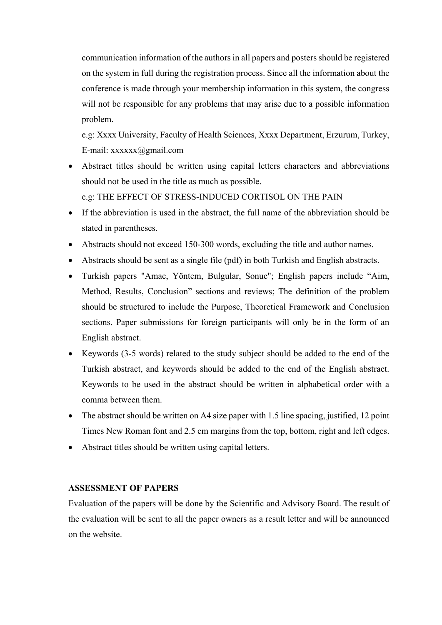communication information of the authors in all papers and posters should be registered on the system in full during the registration process. Since all the information about the conference is made through your membership information in this system, the congress will not be responsible for any problems that may arise due to a possible information problem.

e.g: Xxxx University, Faculty of Health Sciences, Xxxx Department, Erzurum, Turkey, E-mail: xxxxxx@gmail.com

• Abstract titles should be written using capital letters characters and abbreviations should not be used in the title as much as possible.

e.g: THE EFFECT OF STRESS-INDUCED CORTISOL ON THE PAIN

- If the abbreviation is used in the abstract, the full name of the abbreviation should be stated in parentheses.
- Abstracts should not exceed 150-300 words, excluding the title and author names.
- Abstracts should be sent as a single file (pdf) in both Turkish and English abstracts.
- Turkish papers "Amac, Yöntem, Bulgular, Sonuc"; English papers include "Aim, Method, Results, Conclusion" sections and reviews; The definition of the problem should be structured to include the Purpose, Theoretical Framework and Conclusion sections. Paper submissions for foreign participants will only be in the form of an English abstract.
- Keywords (3-5 words) related to the study subject should be added to the end of the Turkish abstract, and keywords should be added to the end of the English abstract. Keywords to be used in the abstract should be written in alphabetical order with a comma between them.
- The abstract should be written on A4 size paper with 1.5 line spacing, justified, 12 point Times New Roman font and 2.5 cm margins from the top, bottom, right and left edges.
- Abstract titles should be written using capital letters.

#### **ASSESSMENT OF PAPERS**

Evaluation of the papers will be done by the Scientific and Advisory Board. The result of the evaluation will be sent to all the paper owners as a result letter and will be announced on the website.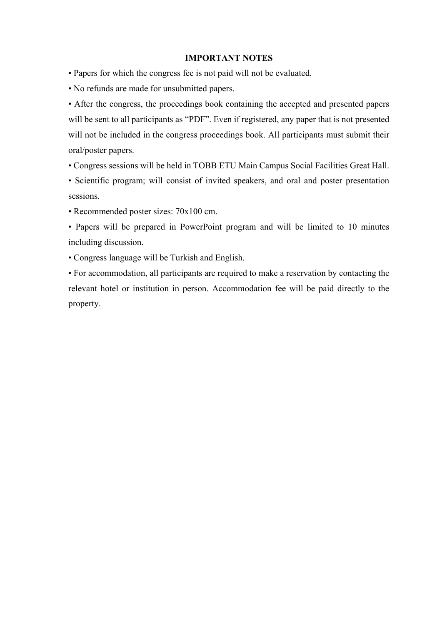#### **IMPORTANT NOTES**

- Papers for which the congress fee is not paid will not be evaluated.
- No refunds are made for unsubmitted papers.

• After the congress, the proceedings book containing the accepted and presented papers will be sent to all participants as "PDF". Even if registered, any paper that is not presented will not be included in the congress proceedings book. All participants must submit their oral/poster papers.

• Congress sessions will be held in TOBB ETU Main Campus Social Facilities Great Hall.

• Scientific program; will consist of invited speakers, and oral and poster presentation sessions.

• Recommended poster sizes: 70x100 cm.

• Papers will be prepared in PowerPoint program and will be limited to 10 minutes including discussion.

• Congress language will be Turkish and English.

• For accommodation, all participants are required to make a reservation by contacting the relevant hotel or institution in person. Accommodation fee will be paid directly to the property.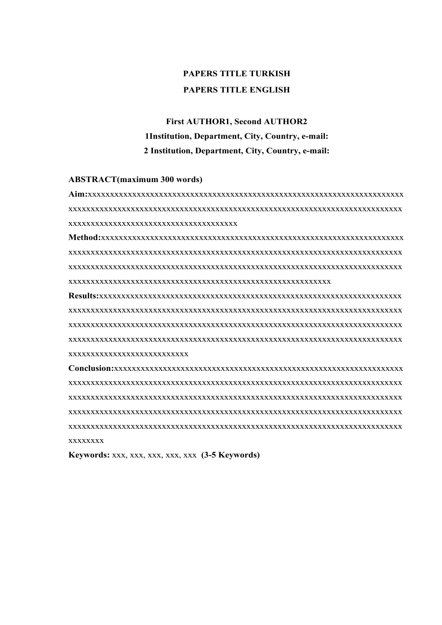# **PAPERS TITLE TURKISH PAPERS TITLE ENGLISH**

# **First AUTHOR1, Second AUTHOR2 1Institution, Department, City, Country, e-mail: 2 Institution, Department, City, Country, e-mail:**

#### **ABSTRACT(maximum 300 words)**

**Aim:**xxxxxxxxxxxxxxxxxxxxxxxxxxxxxxxxxxxxxxxxxxxxxxxxxxxxxxxxxxxxxxxxxxxxxxx xxxxxxxxxxxxxxxxxxxxxxxxxxxxxxxxxxxxxxxxxxxxxxxxxxxxxxxxxxxxxxxxxxxxxxxxxxx xxxxxxxxxxxxxxxxxxxxxxxxxxxxxxxxxxxxxx

**Method:**xxxxxxxxxxxxxxxxxxxxxxxxxxxxxxxxxxxxxxxxxxxxxxxxxxxxxxxxxxxxxxxxxxxx xxxxxxxxxxxxxxxxxxxxxxxxxxxxxxxxxxxxxxxxxxxxxxxxxxxxxxxxxxxxxxxxxxxxxxxxxxx xxxxxxxxxxxxxxxxxxxxxxxxxxxxxxxxxxxxxxxxxxxxxxxxxxxxxxxxxxxxxxxxxxxxxxxxxxx xxxxxxxxxxxxxxxxxxxxxxxxxxxxxxxxxxxxxxxxxxxxxxxxxxxxxxxxxxx

**Results:**xxxxxxxxxxxxxxxxxxxxxxxxxxxxxxxxxxxxxxxxxxxxxxxxxxxxxxxxxxxxxxxxxxxx xxxxxxxxxxxxxxxxxxxxxxxxxxxxxxxxxxxxxxxxxxxxxxxxxxxxxxxxxxxxxxxxxxxxxxxxxxx xxxxxxxxxxxxxxxxxxxxxxxxxxxxxxxxxxxxxxxxxxxxxxxxxxxxxxxxxxxxxxxxxxxxxxxxxxx xxxxxxxxxxxxxxxxxxxxxxxxxxxxxxxxxxxxxxxxxxxxxxxxxxxxxxxxxxxxxxxxxxxxxxxxxxx xxxxxxxxxxxxxxxxxxxxxxxxxxx

**Conclusion:**xxxxxxxxxxxxxxxxxxxxxxxxxxxxxxxxxxxxxxxxxxxxxxxxxxxxxxxxxxxxxxxxx xxxxxxxxxxxxxxxxxxxxxxxxxxxxxxxxxxxxxxxxxxxxxxxxxxxxxxxxxxxxxxxxxxxxxxxxxxx xxxxxxxxxxxxxxxxxxxxxxxxxxxxxxxxxxxxxxxxxxxxxxxxxxxxxxxxxxxxxxxxxxxxxxxxxxx xxxxxxxxxxxxxxxxxxxxxxxxxxxxxxxxxxxxxxxxxxxxxxxxxxxxxxxxxxxxxxxxxxxxxxxxxxx xxxxxxxxxxxxxxxxxxxxxxxxxxxxxxxxxxxxxxxxxxxxxxxxxxxxxxxxxxxxxxxxxxxxxxxxxxx xxxxxxxx

**Keywords:** xxx, xxx, xxx, xxx, xxx **(3-5 Keywords)**